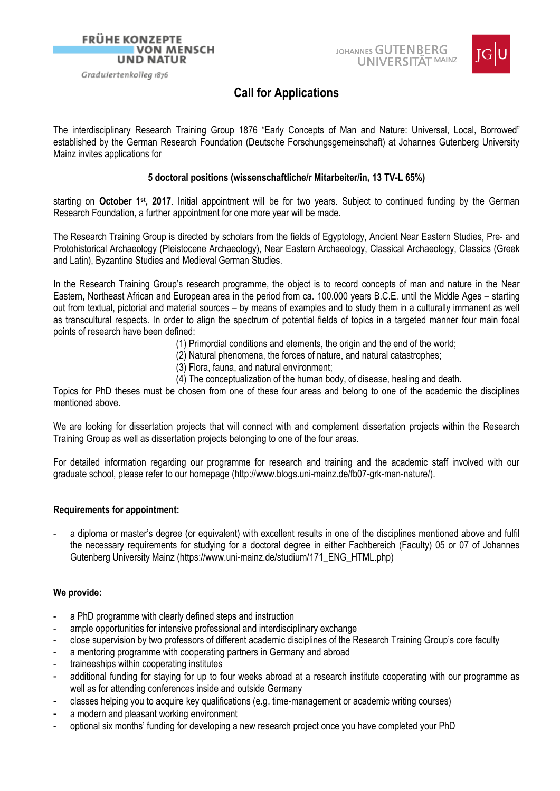#### **FRÜHE KONZEPTE VON MENSCH UND NATUR**

Graduiertenkolleg 1876



# **Call for Applications**

The interdisciplinary Research Training Group 1876 "Early Concepts of Man and Nature: Universal, Local, Borrowed" established by the German Research Foundation (Deutsche Forschungsgemeinschaft) at Johannes Gutenberg University Mainz invites applications for

## **5 doctoral positions (wissenschaftliche/r Mitarbeiter/in, 13 TV-L 65%)**

starting on October 1<sup>st</sup>, 2017. Initial appointment will be for two years. Subject to continued funding by the German Research Foundation, a further appointment for one more year will be made.

The Research Training Group is directed by scholars from the fields of Egyptology, Ancient Near Eastern Studies, Pre- and Protohistorical Archaeology (Pleistocene Archaeology), Near Eastern Archaeology, Classical Archaeology, Classics (Greek and Latin), Byzantine Studies and Medieval German Studies.

In the Research Training Group's research programme, the object is to record concepts of man and nature in the Near Eastern, Northeast African and European area in the period from ca. 100.000 years B.C.E. until the Middle Ages – starting out from textual, pictorial and material sources – by means of examples and to study them in a culturally immanent as well as transcultural respects. In order to align the spectrum of potential fields of topics in a targeted manner four main focal points of research have been defined:

- (1) Primordial conditions and elements, the origin and the end of the world;
- (2) Natural phenomena, the forces of nature, and natural catastrophes;
- (3) Flora, fauna, and natural environment;
- $(4)$  The conceptualization of the human body, of disease, healing and death.

Topics for PhD theses must be chosen from one of these four areas and belong to one of the academic the disciplines mentioned above.

We are looking for dissertation projects that will connect with and complement dissertation projects within the Research Training Group as well as dissertation projects belonging to one of the four areas.

For detailed information regarding our programme for research and training and the academic staff involved with our graduate school, please refer to our homepage (http://www.blogs.uni-mainz.de/fb07-grk-man-nature/).

## **Requirements for appointment:**

a diploma or master's degree (or equivalent) with excellent results in one of the disciplines mentioned above and fulfil the necessary requirements for studying for a doctoral degree in either Fachbereich (Faculty) 05 or 07 of Johannes Gutenberg University Mainz [\(https://www.uni-mainz.de/studium/171\\_ENG\\_HTML.php\)](https://www.uni-mainz.de/studium/171_ENG_HTML.php)

## **We provide:**

- a PhD programme with clearly defined steps and instruction
- ample opportunities for intensive professional and interdisciplinary exchange
- close supervision by two professors of different academic disciplines of the Research Training Group's core faculty
- a mentoring programme with cooperating partners in Germany and abroad
- traineeships within cooperating institutes
- additional funding for staying for up to four weeks abroad at a research institute cooperating with our programme as well as for attending conferences inside and outside Germany
- classes helping you to acquire key qualifications (e.g. time-management or academic writing courses)
- a modern and pleasant working environment
- optional six months' funding for developing a new research project once you have completed your PhD